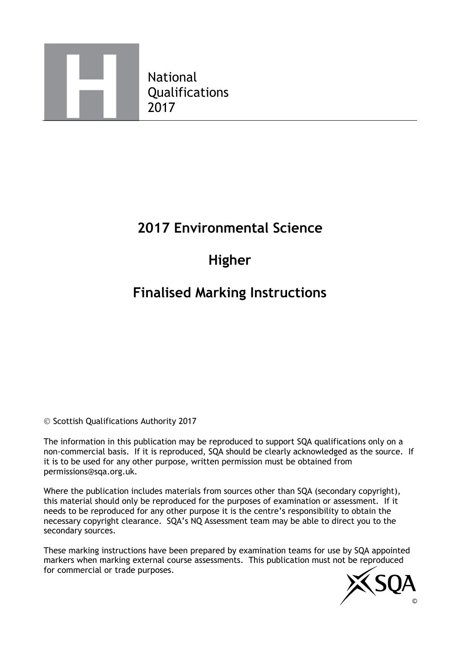

National Qualifications

### **2017 Environmental Science**

# **Higher**

## **Finalised Marking Instructions**

© Scottish Qualifications Authority 2017

The information in this publication may be reproduced to support SQA qualifications only on a non-commercial basis. If it is reproduced, SQA should be clearly acknowledged as the source. If it is to be used for any other purpose, written permission must be obtained from permissions@sqa.org.uk.

Where the publication includes materials from sources other than SQA (secondary copyright), this material should only be reproduced for the purposes of examination or assessment. If it needs to be reproduced for any other purpose it is the centre's responsibility to obtain the necessary copyright clearance. SQA's NQ Assessment team may be able to direct you to the secondary sources.

These marking instructions have been prepared by examination teams for use by SQA appointed markers when marking external course assessments. This publication must not be reproduced for commercial or trade purposes.

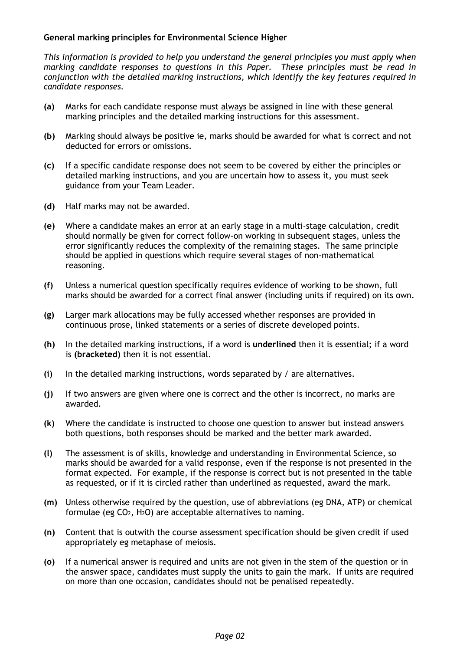#### **General marking principles for Environmental Science Higher**

*This information is provided to help you understand the general principles you must apply when marking candidate responses to questions in this Paper. These principles must be read in conjunction with the detailed marking instructions, which identify the key features required in candidate responses.* 

- **(a)** Marks for each candidate response must always be assigned in line with these general marking principles and the detailed marking instructions for this assessment.
- **(b)** Marking should always be positive ie, marks should be awarded for what is correct and not deducted for errors or omissions.
- **(c)** If a specific candidate response does not seem to be covered by either the principles or detailed marking instructions, and you are uncertain how to assess it, you must seek guidance from your Team Leader.
- **(d)** Half marks may not be awarded.
- **(e)** Where a candidate makes an error at an early stage in a multi-stage calculation, credit should normally be given for correct follow-on working in subsequent stages, unless the error significantly reduces the complexity of the remaining stages. The same principle should be applied in questions which require several stages of non-mathematical reasoning.
- **(f)** Unless a numerical question specifically requires evidence of working to be shown, full marks should be awarded for a correct final answer (including units if required) on its own.
- **(g)** Larger mark allocations may be fully accessed whether responses are provided in continuous prose, linked statements or a series of discrete developed points.
- **(h)** In the detailed marking instructions, if a word is **underlined** then it is essential; if a word is **(bracketed)** then it is not essential.
- **(i)** In the detailed marking instructions, words separated by / are alternatives.
- **(j)** If two answers are given where one is correct and the other is incorrect, no marks are awarded.
- **(k)** Where the candidate is instructed to choose one question to answer but instead answers both questions, both responses should be marked and the better mark awarded.
- **(l)** The assessment is of skills, knowledge and understanding in Environmental Science, so marks should be awarded for a valid response, even if the response is not presented in the format expected. For example, if the response is correct but is not presented in the table as requested, or if it is circled rather than underlined as requested, award the mark.
- **(m)** Unless otherwise required by the question, use of abbreviations (eg DNA, ATP) or chemical formulae (eg CO2, H2O) are acceptable alternatives to naming.
- **(n)** Content that is outwith the course assessment specification should be given credit if used appropriately eg metaphase of meiosis.
- **(o)** If a numerical answer is required and units are not given in the stem of the question or in the answer space, candidates must supply the units to gain the mark. If units are required on more than one occasion, candidates should not be penalised repeatedly.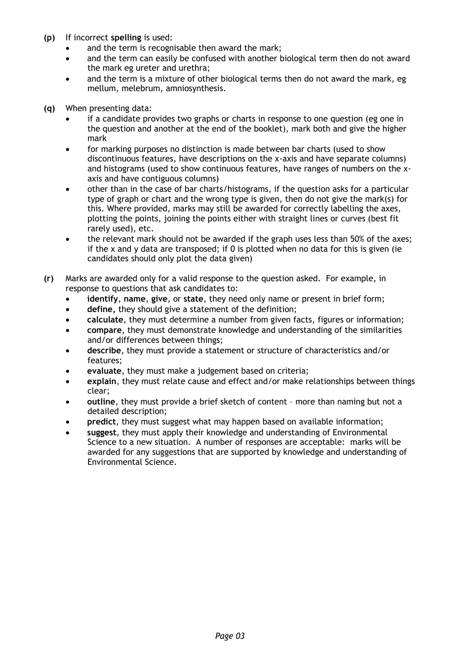- **(p)** If incorrect **spelling** is used:
	- and the term is recognisable then award the mark;
	- and the term can easily be confused with another biological term then do not award the mark eg ureter and urethra;
	- and the term is a mixture of other biological terms then do not award the mark, eg mellum, melebrum, amniosynthesis.
- **(q)** When presenting data:
	- if a candidate provides two graphs or charts in response to one question (eg one in the question and another at the end of the booklet), mark both and give the higher mark
	- for marking purposes no distinction is made between bar charts (used to show discontinuous features, have descriptions on the x-axis and have separate columns) and histograms (used to show continuous features, have ranges of numbers on the xaxis and have contiguous columns)
	- other than in the case of bar charts/histograms, if the question asks for a particular type of graph or chart and the wrong type is given, then do not give the mark(s) for this. Where provided, marks may still be awarded for correctly labelling the axes, plotting the points, joining the points either with straight lines or curves (best fit rarely used), etc.
	- the relevant mark should not be awarded if the graph uses less than 50% of the axes; if the x and y data are transposed; if 0 is plotted when no data for this is given (ie candidates should only plot the data given)
- **(r)** Marks are awarded only for a valid response to the question asked. For example, in response to questions that ask candidates to:
	- **identify**, **name**, **give**, or **state**, they need only name or present in brief form;
	- **define,** they should give a statement of the definition;
	- **calculate**, they must determine a number from given facts, figures or information;
	- **compare**, they must demonstrate knowledge and understanding of the similarities and/or differences between things;
	- **describe**, they must provide a statement or structure of characteristics and/or features;
	- **evaluate**, they must make a judgement based on criteria;
	- **explain**, they must relate cause and effect and/or make relationships between things clear;
	- **outline**, they must provide a brief sketch of content more than naming but not a detailed description;
	- **predict**, they must suggest what may happen based on available information;
	- **suggest**, they must apply their knowledge and understanding of Environmental Science to a new situation. A number of responses are acceptable: marks will be awarded for any suggestions that are supported by knowledge and understanding of Environmental Science.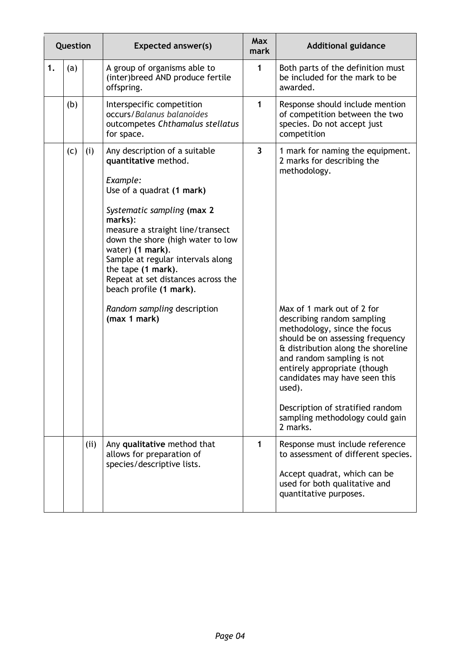| Question |     |     | <b>Expected answer(s)</b>                                                                                                                                                                                                                                                                                                                                                                                       | <b>Max</b><br>mark      | <b>Additional guidance</b>                                                                                                                                                                                                                                                                                                                                                                                                                       |
|----------|-----|-----|-----------------------------------------------------------------------------------------------------------------------------------------------------------------------------------------------------------------------------------------------------------------------------------------------------------------------------------------------------------------------------------------------------------------|-------------------------|--------------------------------------------------------------------------------------------------------------------------------------------------------------------------------------------------------------------------------------------------------------------------------------------------------------------------------------------------------------------------------------------------------------------------------------------------|
| 1.       | (a) |     | A group of organisms able to<br>(inter)breed AND produce fertile<br>offspring.                                                                                                                                                                                                                                                                                                                                  | 1                       | Both parts of the definition must<br>be included for the mark to be<br>awarded.                                                                                                                                                                                                                                                                                                                                                                  |
|          | (b) |     | Interspecific competition<br>occurs/Balanus balanoides<br>outcompetes Chthamalus stellatus<br>for space.                                                                                                                                                                                                                                                                                                        | 1                       | Response should include mention<br>of competition between the two<br>species. Do not accept just<br>competition                                                                                                                                                                                                                                                                                                                                  |
|          | (c) | (i) | Any description of a suitable<br>quantitative method.<br>Example:<br>Use of a quadrat (1 mark)<br>Systematic sampling (max 2<br>marks):<br>measure a straight line/transect<br>down the shore (high water to low<br>water) (1 mark).<br>Sample at regular intervals along<br>the tape (1 mark).<br>Repeat at set distances across the<br>beach profile (1 mark).<br>Random sampling description<br>(max 1 mark) | $\overline{\mathbf{3}}$ | 1 mark for naming the equipment.<br>2 marks for describing the<br>methodology.<br>Max of 1 mark out of 2 for<br>describing random sampling<br>methodology, since the focus<br>should be on assessing frequency<br>& distribution along the shoreline<br>and random sampling is not<br>entirely appropriate (though<br>candidates may have seen this<br>used).<br>Description of stratified random<br>sampling methodology could gain<br>2 marks. |
|          |     | (i) | Any qualitative method that<br>allows for preparation of<br>species/descriptive lists.                                                                                                                                                                                                                                                                                                                          | 1                       | Response must include reference<br>to assessment of different species.<br>Accept quadrat, which can be<br>used for both qualitative and<br>quantitative purposes.                                                                                                                                                                                                                                                                                |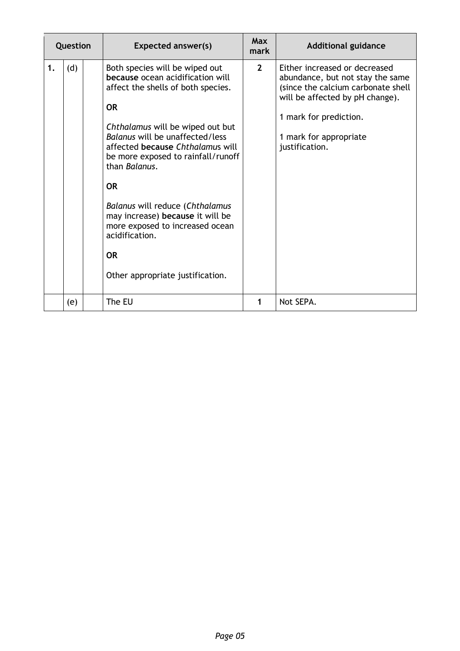| Question |     | <b>Expected answer(s)</b>                                                                                                                                                                                                                                                                                                                                                                                                                                                         | <b>Max</b><br>mark | <b>Additional guidance</b>                                                                                                                                                                                       |
|----------|-----|-----------------------------------------------------------------------------------------------------------------------------------------------------------------------------------------------------------------------------------------------------------------------------------------------------------------------------------------------------------------------------------------------------------------------------------------------------------------------------------|--------------------|------------------------------------------------------------------------------------------------------------------------------------------------------------------------------------------------------------------|
| 1.       | (d) | Both species will be wiped out<br>because ocean acidification will<br>affect the shells of both species.<br><b>OR</b><br>Chthalamus will be wiped out but<br>Balanus will be unaffected/less<br>affected because Chthalamus will<br>be more exposed to rainfall/runoff<br>than Balanus.<br><b>OR</b><br>Balanus will reduce (Chthalamus<br>may increase) because it will be<br>more exposed to increased ocean<br>acidification.<br><b>OR</b><br>Other appropriate justification. | $2^{\circ}$        | Either increased or decreased<br>abundance, but not stay the same<br>(since the calcium carbonate shell<br>will be affected by pH change).<br>1 mark for prediction.<br>1 mark for appropriate<br>justification. |
|          | (e) | The EU                                                                                                                                                                                                                                                                                                                                                                                                                                                                            | 1                  | Not SEPA.                                                                                                                                                                                                        |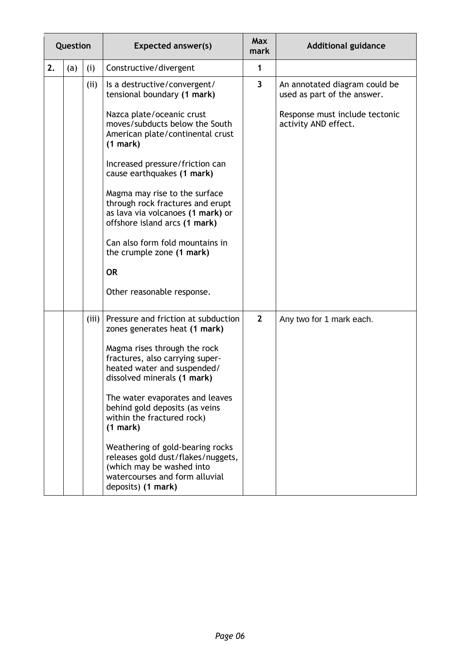| Question |     |       | <b>Expected answer(s)</b>                                                                                                                                   | <b>Max</b><br>mark      | <b>Additional guidance</b>                                   |
|----------|-----|-------|-------------------------------------------------------------------------------------------------------------------------------------------------------------|-------------------------|--------------------------------------------------------------|
| 2.       | (a) | (i)   | Constructive/divergent                                                                                                                                      | 1                       |                                                              |
|          |     | (i)   | Is a destructive/convergent/<br>tensional boundary (1 mark)                                                                                                 | $\overline{\mathbf{3}}$ | An annotated diagram could be<br>used as part of the answer. |
|          |     |       | Nazca plate/oceanic crust<br>moves/subducts below the South<br>American plate/continental crust<br>(1 mark)                                                 |                         | Response must include tectonic<br>activity AND effect.       |
|          |     |       | Increased pressure/friction can<br>cause earthquakes (1 mark)                                                                                               |                         |                                                              |
|          |     |       | Magma may rise to the surface<br>through rock fractures and erupt<br>as lava via volcanoes (1 mark) or<br>offshore island arcs (1 mark)                     |                         |                                                              |
|          |     |       | Can also form fold mountains in<br>the crumple zone (1 mark)                                                                                                |                         |                                                              |
|          |     |       | <b>OR</b>                                                                                                                                                   |                         |                                                              |
|          |     |       | Other reasonable response.                                                                                                                                  |                         |                                                              |
|          |     | (iii) | Pressure and friction at subduction<br>zones generates heat (1 mark)                                                                                        | $\mathbf{2}$            | Any two for 1 mark each.                                     |
|          |     |       | Magma rises through the rock<br>fractures, also carrying super-<br>heated water and suspended/<br>dissolved minerals (1 mark)                               |                         |                                                              |
|          |     |       | The water evaporates and leaves<br>behind gold deposits (as veins<br>within the fractured rock)<br>(1 mark)                                                 |                         |                                                              |
|          |     |       | Weathering of gold-bearing rocks<br>releases gold dust/flakes/nuggets,<br>(which may be washed into<br>watercourses and form alluvial<br>deposits) (1 mark) |                         |                                                              |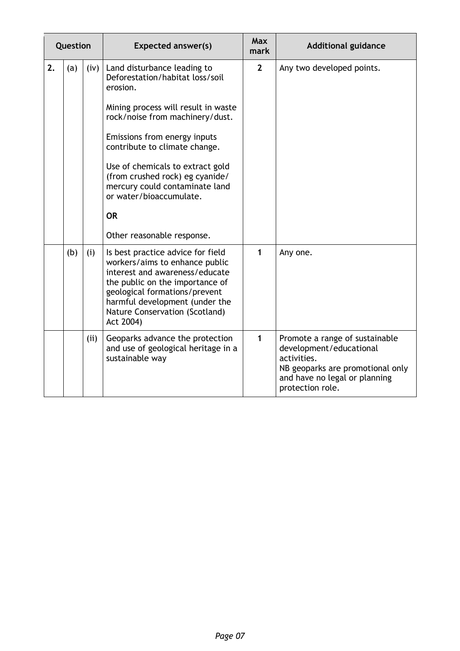| Question |     |      | <b>Expected answer(s)</b>                                                                                                                                                                                                                                                                                                                                                                            | <b>Max</b><br>mark | <b>Additional guidance</b>                                                                                                                                        |
|----------|-----|------|------------------------------------------------------------------------------------------------------------------------------------------------------------------------------------------------------------------------------------------------------------------------------------------------------------------------------------------------------------------------------------------------------|--------------------|-------------------------------------------------------------------------------------------------------------------------------------------------------------------|
| 2.       | (a) | (iv) | Land disturbance leading to<br>Deforestation/habitat loss/soil<br>erosion.<br>Mining process will result in waste<br>rock/noise from machinery/dust.<br>Emissions from energy inputs<br>contribute to climate change.<br>Use of chemicals to extract gold<br>(from crushed rock) eg cyanide/<br>mercury could contaminate land<br>or water/bioaccumulate.<br><b>OR</b><br>Other reasonable response. | $\overline{2}$     | Any two developed points.                                                                                                                                         |
|          | (b) | (i)  | Is best practice advice for field<br>workers/aims to enhance public<br>interest and awareness/educate<br>the public on the importance of<br>geological formations/prevent<br>harmful development (under the<br>Nature Conservation (Scotland)<br>Act 2004)                                                                                                                                           | 1                  | Any one.                                                                                                                                                          |
|          |     | (ii) | Geoparks advance the protection<br>and use of geological heritage in a<br>sustainable way                                                                                                                                                                                                                                                                                                            | $\mathbf{1}$       | Promote a range of sustainable<br>development/educational<br>activities.<br>NB geoparks are promotional only<br>and have no legal or planning<br>protection role. |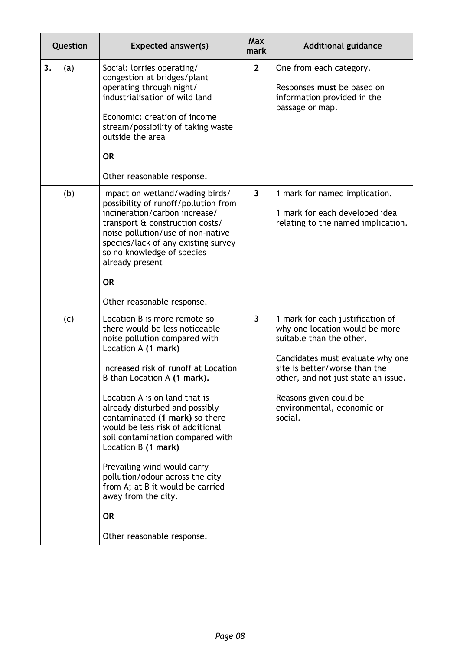|    | Question | <b>Expected answer(s)</b>                                                                                                                                                                                                                                                                                                                                                                                                                                                                                                                                                 | <b>Max</b><br>mark      | <b>Additional guidance</b>                                                                                                                                                                                                                                                    |
|----|----------|---------------------------------------------------------------------------------------------------------------------------------------------------------------------------------------------------------------------------------------------------------------------------------------------------------------------------------------------------------------------------------------------------------------------------------------------------------------------------------------------------------------------------------------------------------------------------|-------------------------|-------------------------------------------------------------------------------------------------------------------------------------------------------------------------------------------------------------------------------------------------------------------------------|
| 3. | (a)      | Social: lorries operating/<br>congestion at bridges/plant<br>operating through night/<br>industrialisation of wild land<br>Economic: creation of income<br>stream/possibility of taking waste<br>outside the area<br><b>OR</b><br>Other reasonable response.                                                                                                                                                                                                                                                                                                              | $\overline{2}$          | One from each category.<br>Responses must be based on<br>information provided in the<br>passage or map.                                                                                                                                                                       |
|    | (b)      | Impact on wetland/wading birds/<br>possibility of runoff/pollution from<br>incineration/carbon increase/<br>transport & construction costs/<br>noise pollution/use of non-native<br>species/lack of any existing survey<br>so no knowledge of species<br>already present<br><b>OR</b><br>Other reasonable response.                                                                                                                                                                                                                                                       | $\overline{\mathbf{3}}$ | 1 mark for named implication.<br>1 mark for each developed idea<br>relating to the named implication.                                                                                                                                                                         |
|    | (c)      | Location B is more remote so<br>there would be less noticeable<br>noise pollution compared with<br>Location A (1 mark)<br>Increased risk of runoff at Location<br>B than Location A (1 mark).<br>Location A is on land that is<br>already disturbed and possibly<br>contaminated (1 mark) so there<br>would be less risk of additional<br>soil contamination compared with<br>Location B (1 mark)<br>Prevailing wind would carry<br>pollution/odour across the city<br>from A; at B it would be carried<br>away from the city.<br><b>OR</b><br>Other reasonable response. | $\overline{\mathbf{3}}$ | 1 mark for each justification of<br>why one location would be more<br>suitable than the other.<br>Candidates must evaluate why one<br>site is better/worse than the<br>other, and not just state an issue.<br>Reasons given could be<br>environmental, economic or<br>social. |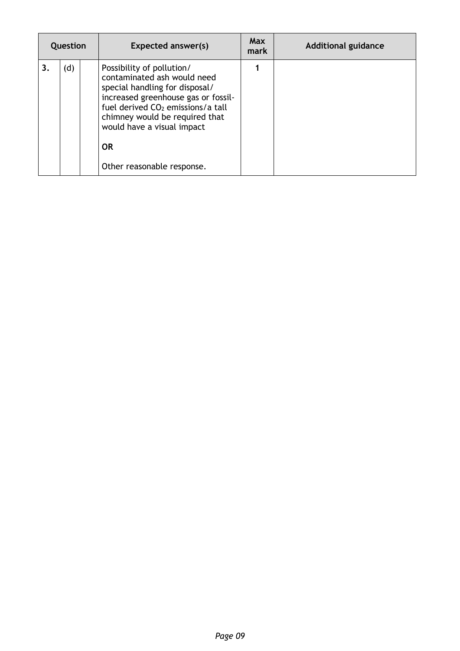| Question |     | <b>Expected answer(s)</b>                                                                                                                                                                                                                                                                     | Max<br>mark | <b>Additional guidance</b> |
|----------|-----|-----------------------------------------------------------------------------------------------------------------------------------------------------------------------------------------------------------------------------------------------------------------------------------------------|-------------|----------------------------|
| 3.       | (d) | Possibility of pollution/<br>contaminated ash would need<br>special handling for disposal/<br>increased greenhouse gas or fossil-<br>fuel derived CO <sub>2</sub> emissions/a tall<br>chimney would be required that<br>would have a visual impact<br><b>OR</b><br>Other reasonable response. |             |                            |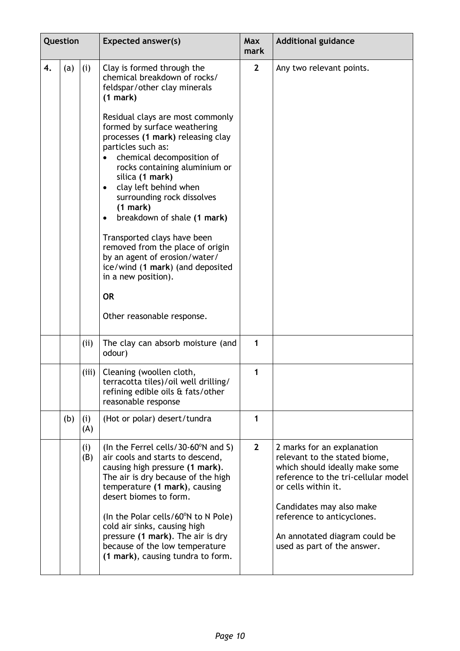|    | Question |            | <b>Expected answer(s)</b>                                                                                                                                                                                                                                                                                                                                                                                                                                                                                                                                                                                                                                      | <b>Max</b><br>mark | <b>Additional guidance</b>                                                                                                                                                                                                                                                            |
|----|----------|------------|----------------------------------------------------------------------------------------------------------------------------------------------------------------------------------------------------------------------------------------------------------------------------------------------------------------------------------------------------------------------------------------------------------------------------------------------------------------------------------------------------------------------------------------------------------------------------------------------------------------------------------------------------------------|--------------------|---------------------------------------------------------------------------------------------------------------------------------------------------------------------------------------------------------------------------------------------------------------------------------------|
| 4. | (a)      | (i)        | Clay is formed through the<br>chemical breakdown of rocks/<br>feldspar/other clay minerals<br>$(1$ mark)<br>Residual clays are most commonly<br>formed by surface weathering<br>processes (1 mark) releasing clay<br>particles such as:<br>chemical decomposition of<br>rocks containing aluminium or<br>silica (1 mark)<br>clay left behind when<br>$\bullet$<br>surrounding rock dissolves<br>(1 mark)<br>breakdown of shale (1 mark)<br>$\bullet$<br>Transported clays have been<br>removed from the place of origin<br>by an agent of erosion/water/<br>ice/wind (1 mark) (and deposited<br>in a new position).<br><b>OR</b><br>Other reasonable response. | $\overline{2}$     | Any two relevant points.                                                                                                                                                                                                                                                              |
|    |          | (ii)       | The clay can absorb moisture (and<br>odour)                                                                                                                                                                                                                                                                                                                                                                                                                                                                                                                                                                                                                    | $\mathbf{1}$       |                                                                                                                                                                                                                                                                                       |
|    |          | (iii)      | Cleaning (woollen cloth,<br>terracotta tiles)/oil well drilling/<br>refining edible oils & fats/other<br>reasonable response                                                                                                                                                                                                                                                                                                                                                                                                                                                                                                                                   | 1                  |                                                                                                                                                                                                                                                                                       |
|    | (b)      | (i)<br>(A) | (Hot or polar) desert/tundra                                                                                                                                                                                                                                                                                                                                                                                                                                                                                                                                                                                                                                   | 1                  |                                                                                                                                                                                                                                                                                       |
|    |          | (i)<br>(B) | (In the Ferrel cells/30-60 $\degree$ N and S)<br>air cools and starts to descend,<br>causing high pressure (1 mark).<br>The air is dry because of the high<br>temperature (1 mark), causing<br>desert biomes to form.<br>(In the Polar cells/60°N to N Pole)<br>cold air sinks, causing high<br>pressure (1 mark). The air is dry<br>because of the low temperature<br>(1 mark), causing tundra to form.                                                                                                                                                                                                                                                       | $\overline{2}$     | 2 marks for an explanation<br>relevant to the stated biome,<br>which should ideally make some<br>reference to the tri-cellular model<br>or cells within it.<br>Candidates may also make<br>reference to anticyclones.<br>An annotated diagram could be<br>used as part of the answer. |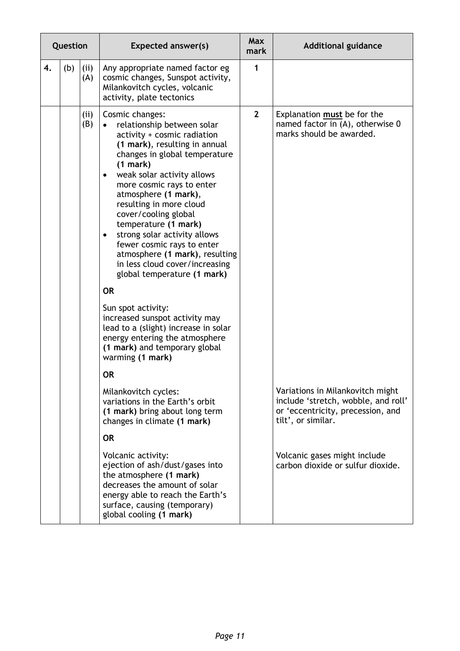|    | Question |            | <b>Expected answer(s)</b>                                                                                                                                                                                                                                                                                                                                                                                                                                                                                                                                                                                                                                                                                                    | <b>Max</b><br>mark | <b>Additional guidance</b>                                                                                                         |
|----|----------|------------|------------------------------------------------------------------------------------------------------------------------------------------------------------------------------------------------------------------------------------------------------------------------------------------------------------------------------------------------------------------------------------------------------------------------------------------------------------------------------------------------------------------------------------------------------------------------------------------------------------------------------------------------------------------------------------------------------------------------------|--------------------|------------------------------------------------------------------------------------------------------------------------------------|
| 4. | (b)      | (i)<br>(A) | Any appropriate named factor eg<br>cosmic changes, Sunspot activity,<br>Milankovitch cycles, volcanic<br>activity, plate tectonics                                                                                                                                                                                                                                                                                                                                                                                                                                                                                                                                                                                           | 1                  |                                                                                                                                    |
|    |          | (i)<br>(B) | Cosmic changes:<br>relationship between solar<br>activity + cosmic radiation<br>(1 mark), resulting in annual<br>changes in global temperature<br>(1 mark)<br>weak solar activity allows<br>$\bullet$<br>more cosmic rays to enter<br>atmosphere (1 mark),<br>resulting in more cloud<br>cover/cooling global<br>temperature (1 mark)<br>strong solar activity allows<br>٠<br>fewer cosmic rays to enter<br>atmosphere (1 mark), resulting<br>in less cloud cover/increasing<br>global temperature (1 mark)<br><b>OR</b><br>Sun spot activity:<br>increased sunspot activity may<br>lead to a (slight) increase in solar<br>energy entering the atmosphere<br>(1 mark) and temporary global<br>warming (1 mark)<br><b>OR</b> | $\overline{2}$     | Explanation must be for the<br>named factor in (A), otherwise 0<br>marks should be awarded.                                        |
|    |          |            | Milankovitch cycles:<br>variations in the Earth's orbit<br>(1 mark) bring about long term<br>changes in climate (1 mark)<br><b>OR</b>                                                                                                                                                                                                                                                                                                                                                                                                                                                                                                                                                                                        |                    | Variations in Milankovitch might<br>include 'stretch, wobble, and roll'<br>or 'eccentricity, precession, and<br>tilt', or similar. |
|    |          |            | Volcanic activity:<br>ejection of ash/dust/gases into<br>the atmosphere (1 mark)<br>decreases the amount of solar<br>energy able to reach the Earth's<br>surface, causing (temporary)<br>global cooling (1 mark)                                                                                                                                                                                                                                                                                                                                                                                                                                                                                                             |                    | Volcanic gases might include<br>carbon dioxide or sulfur dioxide.                                                                  |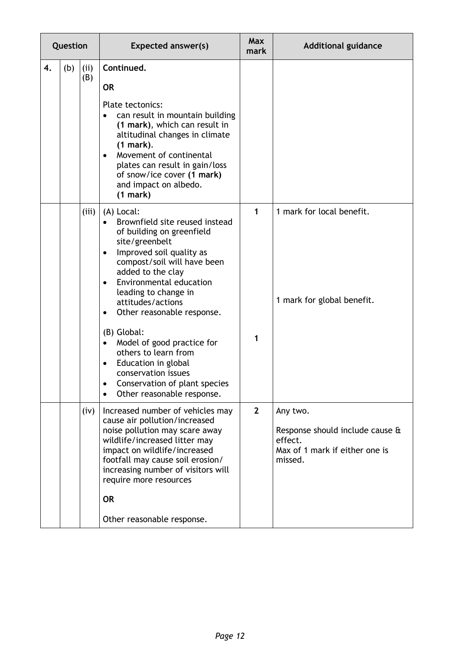| Question |     |             | <b>Expected answer(s)</b>                                                                                                                                                                                                                                                                                                                                                                                                                                                                               | <b>Max</b><br>mark | <b>Additional guidance</b>                                                                          |
|----------|-----|-------------|---------------------------------------------------------------------------------------------------------------------------------------------------------------------------------------------------------------------------------------------------------------------------------------------------------------------------------------------------------------------------------------------------------------------------------------------------------------------------------------------------------|--------------------|-----------------------------------------------------------------------------------------------------|
| 4.       | (b) | (ii)<br>(B) | Continued.<br><b>OR</b><br>Plate tectonics:<br>can result in mountain building<br>(1 mark), which can result in<br>altitudinal changes in climate<br>$(1$ mark).<br>Movement of continental<br>plates can result in gain/loss<br>of snow/ice cover (1 mark)<br>and impact on albedo.<br>(1 mark)                                                                                                                                                                                                        |                    |                                                                                                     |
|          |     | (iii)       | (A) Local:<br>Brownfield site reused instead<br>of building on greenfield<br>site/greenbelt<br>Improved soil quality as<br>$\bullet$<br>compost/soil will have been<br>added to the clay<br>Environmental education<br>$\bullet$<br>leading to change in<br>attitudes/actions<br>Other reasonable response.<br>٠<br>(B) Global:<br>Model of good practice for<br>others to learn from<br>Education in global<br>conservation issues<br>Conservation of plant species<br>٠<br>Other reasonable response. | 1<br>1             | 1 mark for local benefit.<br>1 mark for global benefit.                                             |
|          |     | (iv)        | Increased number of vehicles may<br>cause air pollution/increased<br>noise pollution may scare away<br>wildlife/increased litter may<br>impact on wildlife/increased<br>footfall may cause soil erosion/<br>increasing number of visitors will<br>require more resources<br><b>OR</b><br>Other reasonable response.                                                                                                                                                                                     | $\mathbf{2}$       | Any two.<br>Response should include cause &<br>effect.<br>Max of 1 mark if either one is<br>missed. |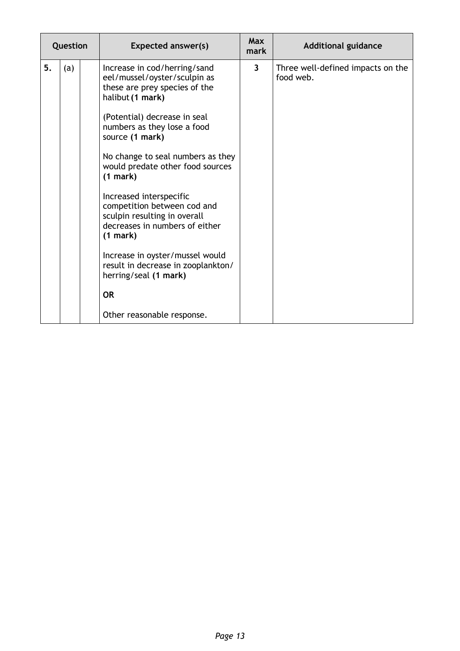| Question  | <b>Expected answer(s)</b>                                                                                                                                                                                                                                                                                                                                                                                                                                                                                                                                                     | <b>Max</b><br>mark | <b>Additional guidance</b>                     |
|-----------|-------------------------------------------------------------------------------------------------------------------------------------------------------------------------------------------------------------------------------------------------------------------------------------------------------------------------------------------------------------------------------------------------------------------------------------------------------------------------------------------------------------------------------------------------------------------------------|--------------------|------------------------------------------------|
| 5.<br>(a) | Increase in cod/herring/sand<br>eel/mussel/oyster/sculpin as<br>these are prey species of the<br>halibut (1 mark)<br>(Potential) decrease in seal<br>numbers as they lose a food<br>source (1 mark)<br>No change to seal numbers as they<br>would predate other food sources<br>(1 mark)<br>Increased interspecific<br>competition between cod and<br>sculpin resulting in overall<br>decreases in numbers of either<br>(1 mark)<br>Increase in oyster/mussel would<br>result in decrease in zooplankton/<br>herring/seal (1 mark)<br><b>OR</b><br>Other reasonable response. | $\overline{3}$     | Three well-defined impacts on the<br>food web. |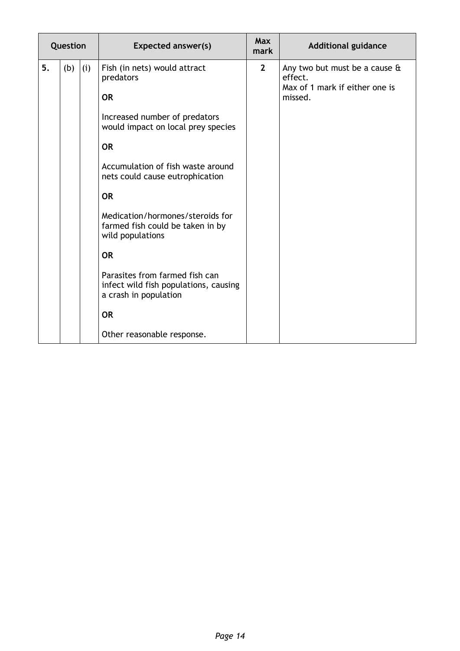| Question |     |     | <b>Expected answer(s)</b>                                                                                                                                                                                                                                                                                                                | <b>Max</b><br>mark | <b>Additional guidance</b>                                                            |
|----------|-----|-----|------------------------------------------------------------------------------------------------------------------------------------------------------------------------------------------------------------------------------------------------------------------------------------------------------------------------------------------|--------------------|---------------------------------------------------------------------------------------|
| 5.       | (b) | (i) | Fish (in nets) would attract<br>predators<br><b>OR</b><br>Increased number of predators<br>would impact on local prey species<br><b>OR</b><br>Accumulation of fish waste around<br>nets could cause eutrophication<br><b>OR</b><br>Medication/hormones/steroids for<br>farmed fish could be taken in by<br>wild populations<br><b>OR</b> | $\mathbf{2}$       | Any two but must be a cause &<br>effect.<br>Max of 1 mark if either one is<br>missed. |
|          |     |     | Parasites from farmed fish can<br>infect wild fish populations, causing<br>a crash in population<br><b>OR</b>                                                                                                                                                                                                                            |                    |                                                                                       |
|          |     |     | Other reasonable response.                                                                                                                                                                                                                                                                                                               |                    |                                                                                       |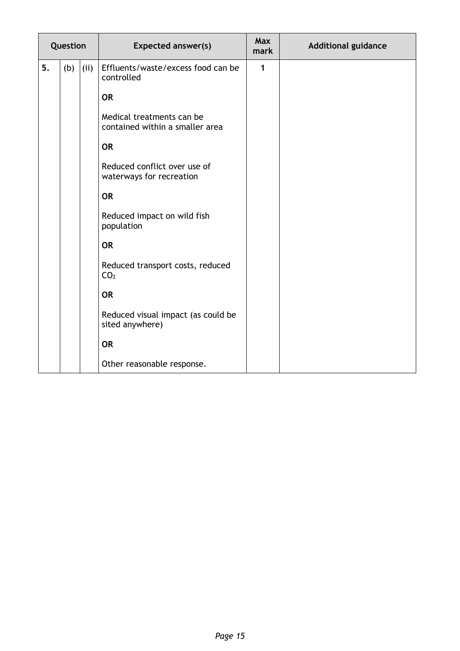| Question |     |      | <b>Expected answer(s)</b>                                    | <b>Max</b><br>mark | <b>Additional guidance</b> |
|----------|-----|------|--------------------------------------------------------------|--------------------|----------------------------|
| 5.       | (b) | (ii) | Effluents/waste/excess food can be<br>controlled             | $\mathbf{1}$       |                            |
|          |     |      | <b>OR</b>                                                    |                    |                            |
|          |     |      | Medical treatments can be<br>contained within a smaller area |                    |                            |
|          |     |      | <b>OR</b>                                                    |                    |                            |
|          |     |      | Reduced conflict over use of<br>waterways for recreation     |                    |                            |
|          |     |      | <b>OR</b>                                                    |                    |                            |
|          |     |      | Reduced impact on wild fish<br>population                    |                    |                            |
|          |     |      | <b>OR</b>                                                    |                    |                            |
|          |     |      | Reduced transport costs, reduced<br>CO <sub>2</sub>          |                    |                            |
|          |     |      | <b>OR</b>                                                    |                    |                            |
|          |     |      | Reduced visual impact (as could be<br>sited anywhere)        |                    |                            |
|          |     |      | <b>OR</b>                                                    |                    |                            |
|          |     |      | Other reasonable response.                                   |                    |                            |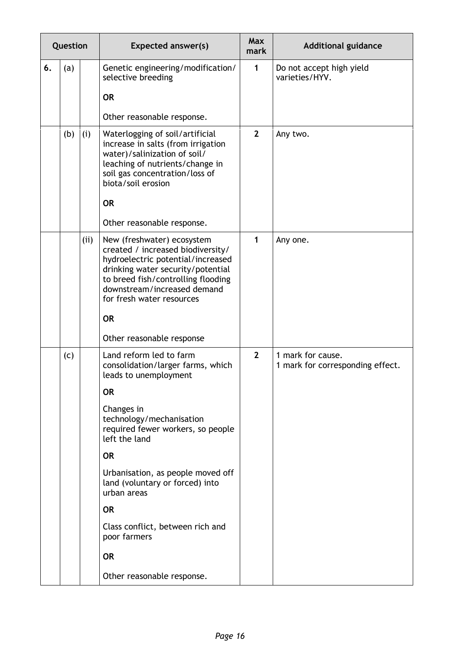|    | Question |     | <b>Expected answer(s)</b>                                                                                                                                                                                                                   | <b>Max</b><br>mark | <b>Additional guidance</b>                            |
|----|----------|-----|---------------------------------------------------------------------------------------------------------------------------------------------------------------------------------------------------------------------------------------------|--------------------|-------------------------------------------------------|
| 6. | (a)      |     | Genetic engineering/modification/<br>selective breeding                                                                                                                                                                                     | $\mathbf{1}$       | Do not accept high yield<br>varieties/HYV.            |
|    |          |     | <b>OR</b>                                                                                                                                                                                                                                   |                    |                                                       |
|    |          |     | Other reasonable response.                                                                                                                                                                                                                  |                    |                                                       |
|    | (b)      | (i) | Waterlogging of soil/artificial<br>increase in salts (from irrigation<br>water)/salinization of soil/<br>leaching of nutrients/change in<br>soil gas concentration/loss of<br>biota/soil erosion                                            | $\overline{2}$     | Any two.                                              |
|    |          |     | <b>OR</b>                                                                                                                                                                                                                                   |                    |                                                       |
|    |          |     | Other reasonable response.                                                                                                                                                                                                                  |                    |                                                       |
|    |          | (i) | New (freshwater) ecosystem<br>created / increased biodiversity/<br>hydroelectric potential/increased<br>drinking water security/potential<br>to breed fish/controlling flooding<br>downstream/increased demand<br>for fresh water resources | 1                  | Any one.                                              |
|    |          |     | <b>OR</b>                                                                                                                                                                                                                                   |                    |                                                       |
|    |          |     | Other reasonable response                                                                                                                                                                                                                   |                    |                                                       |
|    | (c)      |     | Land reform led to farm<br>consolidation/larger farms, which<br>leads to unemployment                                                                                                                                                       | $\overline{2}$     | 1 mark for cause.<br>1 mark for corresponding effect. |
|    |          |     | <b>OR</b>                                                                                                                                                                                                                                   |                    |                                                       |
|    |          |     | Changes in<br>technology/mechanisation<br>required fewer workers, so people<br>left the land                                                                                                                                                |                    |                                                       |
|    |          |     | <b>OR</b>                                                                                                                                                                                                                                   |                    |                                                       |
|    |          |     | Urbanisation, as people moved off<br>land (voluntary or forced) into<br>urban areas                                                                                                                                                         |                    |                                                       |
|    |          |     | <b>OR</b>                                                                                                                                                                                                                                   |                    |                                                       |
|    |          |     | Class conflict, between rich and<br>poor farmers                                                                                                                                                                                            |                    |                                                       |
|    |          |     | <b>OR</b>                                                                                                                                                                                                                                   |                    |                                                       |
|    |          |     | Other reasonable response.                                                                                                                                                                                                                  |                    |                                                       |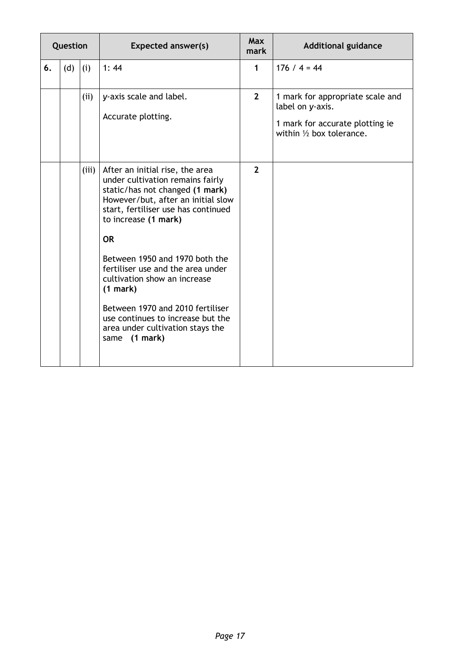| Question |     |       | <b>Expected answer(s)</b>                                                                                                                                                                                                | <b>Max</b><br>mark | <b>Additional guidance</b>                                                                                                     |
|----------|-----|-------|--------------------------------------------------------------------------------------------------------------------------------------------------------------------------------------------------------------------------|--------------------|--------------------------------------------------------------------------------------------------------------------------------|
| 6.       | (d) | (i)   | 1:44                                                                                                                                                                                                                     | $\mathbf{1}$       | $176 / 4 = 44$                                                                                                                 |
|          |     | (ii)  | y-axis scale and label.<br>Accurate plotting.                                                                                                                                                                            | $\overline{2}$     | 1 mark for appropriate scale and<br>label on y-axis.<br>1 mark for accurate plotting ie<br>within $\frac{1}{2}$ box tolerance. |
|          |     | (iii) | After an initial rise, the area<br>under cultivation remains fairly<br>static/has not changed (1 mark)<br>However/but, after an initial slow<br>start, fertiliser use has continued<br>to increase (1 mark)<br><b>OR</b> | $\overline{2}$     |                                                                                                                                |
|          |     |       | Between 1950 and 1970 both the<br>fertiliser use and the area under<br>cultivation show an increase<br>$(1$ mark)<br>Between 1970 and 2010 fertiliser<br>use continues to increase but the                               |                    |                                                                                                                                |
|          |     |       | area under cultivation stays the<br>(1 mark)<br>same                                                                                                                                                                     |                    |                                                                                                                                |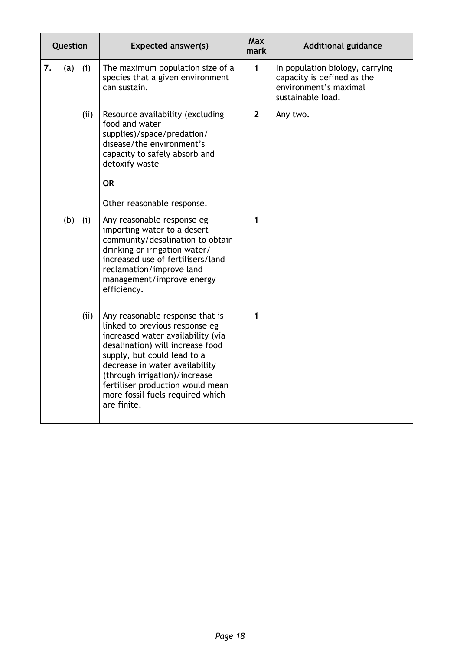| Question |     |      | <b>Expected answer(s)</b>                                                                                                                                                                                                                                                                                                           | <b>Max</b><br>mark | <b>Additional guidance</b>                                                                                  |
|----------|-----|------|-------------------------------------------------------------------------------------------------------------------------------------------------------------------------------------------------------------------------------------------------------------------------------------------------------------------------------------|--------------------|-------------------------------------------------------------------------------------------------------------|
| 7.       | (a) | (i)  | The maximum population size of a<br>species that a given environment<br>can sustain.                                                                                                                                                                                                                                                | $\mathbf{1}$       | In population biology, carrying<br>capacity is defined as the<br>environment's maximal<br>sustainable load. |
|          |     | (ii) | Resource availability (excluding<br>food and water<br>supplies)/space/predation/<br>disease/the environment's<br>capacity to safely absorb and<br>detoxify waste<br><b>OR</b><br>Other reasonable response.                                                                                                                         | $\overline{2}$     | Any two.                                                                                                    |
|          | (b) | (i)  | Any reasonable response eg<br>importing water to a desert<br>community/desalination to obtain<br>drinking or irrigation water/<br>increased use of fertilisers/land<br>reclamation/improve land<br>management/improve energy<br>efficiency.                                                                                         | $\mathbf{1}$       |                                                                                                             |
|          |     | (ii) | Any reasonable response that is<br>linked to previous response eg<br>increased water availability (via<br>desalination) will increase food<br>supply, but could lead to a<br>decrease in water availability<br>(through irrigation)/increase<br>fertiliser production would mean<br>more fossil fuels required which<br>are finite. | $\mathbf{1}$       |                                                                                                             |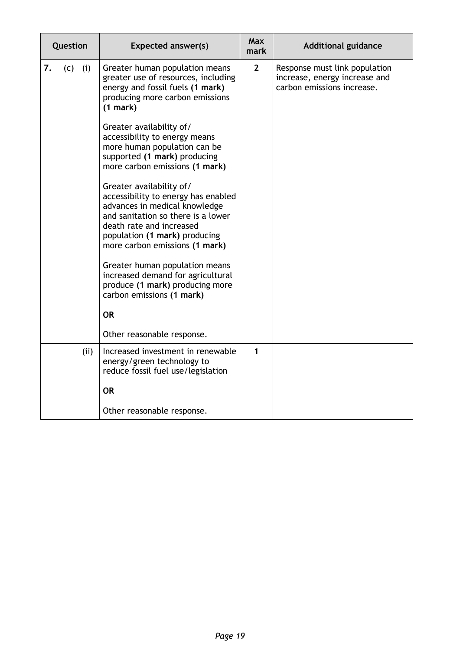| Question |     |     | <b>Expected answer(s)</b>                                                                                                                                                                                                                                                                                                                                                                                                                                                                                                                                                                                                                                                                                                                          | <b>Max</b><br>mark | <b>Additional guidance</b>                                                                   |
|----------|-----|-----|----------------------------------------------------------------------------------------------------------------------------------------------------------------------------------------------------------------------------------------------------------------------------------------------------------------------------------------------------------------------------------------------------------------------------------------------------------------------------------------------------------------------------------------------------------------------------------------------------------------------------------------------------------------------------------------------------------------------------------------------------|--------------------|----------------------------------------------------------------------------------------------|
| 7.       | (c) | (i) | Greater human population means<br>greater use of resources, including<br>energy and fossil fuels (1 mark)<br>producing more carbon emissions<br>(1 mark)<br>Greater availability of/<br>accessibility to energy means<br>more human population can be<br>supported (1 mark) producing<br>more carbon emissions (1 mark)<br>Greater availability of/<br>accessibility to energy has enabled<br>advances in medical knowledge<br>and sanitation so there is a lower<br>death rate and increased<br>population (1 mark) producing<br>more carbon emissions (1 mark)<br>Greater human population means<br>increased demand for agricultural<br>produce (1 mark) producing more<br>carbon emissions (1 mark)<br><b>OR</b><br>Other reasonable response. | $\mathbf{2}$       | Response must link population<br>increase, energy increase and<br>carbon emissions increase. |
|          |     | (i) | Increased investment in renewable<br>energy/green technology to<br>reduce fossil fuel use/legislation<br><b>OR</b>                                                                                                                                                                                                                                                                                                                                                                                                                                                                                                                                                                                                                                 | 1                  |                                                                                              |
|          |     |     | Other reasonable response.                                                                                                                                                                                                                                                                                                                                                                                                                                                                                                                                                                                                                                                                                                                         |                    |                                                                                              |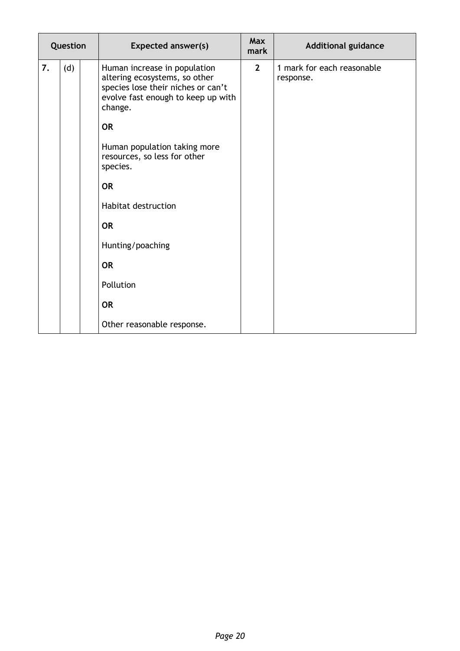| Question |     |           | <b>Expected answer(s)</b>                                                                                                                            | <b>Max</b><br>mark | <b>Additional guidance</b>              |
|----------|-----|-----------|------------------------------------------------------------------------------------------------------------------------------------------------------|--------------------|-----------------------------------------|
| 7.       | (d) |           | Human increase in population<br>altering ecosystems, so other<br>species lose their niches or can't<br>evolve fast enough to keep up with<br>change. | $\overline{2}$     | 1 mark for each reasonable<br>response. |
|          |     | <b>OR</b> |                                                                                                                                                      |                    |                                         |
|          |     |           | Human population taking more<br>resources, so less for other<br>species.                                                                             |                    |                                         |
|          |     | <b>OR</b> |                                                                                                                                                      |                    |                                         |
|          |     |           | <b>Habitat destruction</b>                                                                                                                           |                    |                                         |
|          |     | <b>OR</b> |                                                                                                                                                      |                    |                                         |
|          |     |           | Hunting/poaching                                                                                                                                     |                    |                                         |
|          |     | <b>OR</b> |                                                                                                                                                      |                    |                                         |
|          |     |           | Pollution                                                                                                                                            |                    |                                         |
|          |     | <b>OR</b> |                                                                                                                                                      |                    |                                         |
|          |     |           | Other reasonable response.                                                                                                                           |                    |                                         |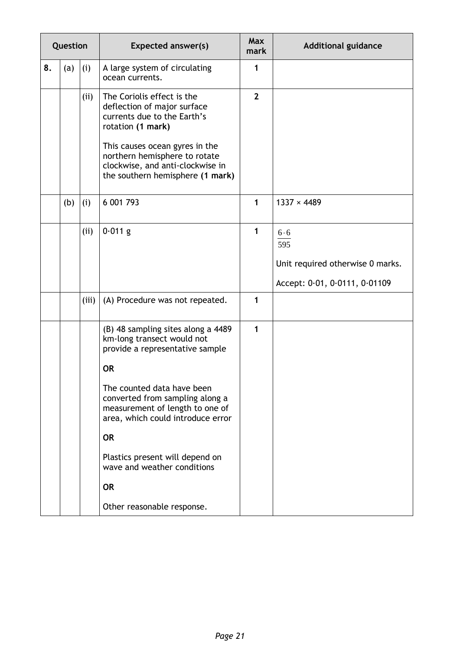| Question |     |       | <b>Expected answer(s)</b>                                                                                                                                                                                                                                                                                                                                                           | <b>Max</b><br>mark | <b>Additional guidance</b>                                                      |
|----------|-----|-------|-------------------------------------------------------------------------------------------------------------------------------------------------------------------------------------------------------------------------------------------------------------------------------------------------------------------------------------------------------------------------------------|--------------------|---------------------------------------------------------------------------------|
| 8.       | (a) | (i)   | A large system of circulating<br>ocean currents.                                                                                                                                                                                                                                                                                                                                    | 1                  |                                                                                 |
|          |     | (ii)  | The Coriolis effect is the<br>deflection of major surface<br>currents due to the Earth's<br>rotation (1 mark)<br>This causes ocean gyres in the<br>northern hemisphere to rotate<br>clockwise, and anti-clockwise in<br>the southern hemisphere (1 mark)                                                                                                                            | $\mathbf{2}$       |                                                                                 |
|          | (b) | (i)   | 6 001 793                                                                                                                                                                                                                                                                                                                                                                           | $\mathbf{1}$       | $1337 \times 4489$                                                              |
|          |     | (ii)  | $0.011$ g                                                                                                                                                                                                                                                                                                                                                                           | 1                  | 6.6<br>595<br>Unit required otherwise 0 marks.<br>Accept: 0.01, 0.0111, 0.01109 |
|          |     | (iii) | (A) Procedure was not repeated.                                                                                                                                                                                                                                                                                                                                                     | 1                  |                                                                                 |
|          |     |       | (B) 48 sampling sites along a 4489<br>km-long transect would not<br>provide a representative sample<br><b>OR</b><br>The counted data have been<br>converted from sampling along a<br>measurement of length to one of<br>area, which could introduce error<br><b>OR</b><br>Plastics present will depend on<br>wave and weather conditions<br><b>OR</b><br>Other reasonable response. | 1                  |                                                                                 |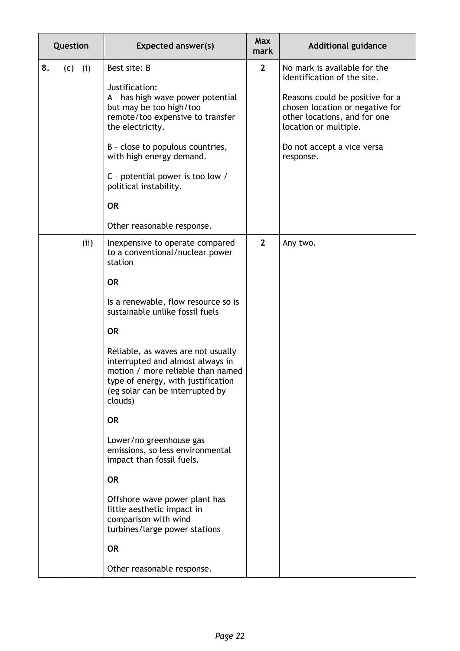|    | Question |      | <b>Expected answer(s)</b>                                                                                                                                                                                                                                                                                                                                                                                                                                                                                                                                                                                                                                                     | <b>Max</b><br>mark | <b>Additional guidance</b>                                                                                                                                                                                                            |
|----|----------|------|-------------------------------------------------------------------------------------------------------------------------------------------------------------------------------------------------------------------------------------------------------------------------------------------------------------------------------------------------------------------------------------------------------------------------------------------------------------------------------------------------------------------------------------------------------------------------------------------------------------------------------------------------------------------------------|--------------------|---------------------------------------------------------------------------------------------------------------------------------------------------------------------------------------------------------------------------------------|
| 8. | (c)      | (i)  | Best site: B<br>Justification:<br>A - has high wave power potential<br>but may be too high/too<br>remote/too expensive to transfer<br>the electricity.<br>B - close to populous countries,<br>with high energy demand.<br>C - potential power is too low /<br>political instability.<br><b>OR</b>                                                                                                                                                                                                                                                                                                                                                                             | $\mathbf{2}$       | No mark is available for the<br>identification of the site.<br>Reasons could be positive for a<br>chosen location or negative for<br>other locations, and for one<br>location or multiple.<br>Do not accept a vice versa<br>response. |
|    |          | (ii) | Other reasonable response.<br>Inexpensive to operate compared<br>to a conventional/nuclear power<br>station<br><b>OR</b><br>Is a renewable, flow resource so is<br>sustainable unlike fossil fuels<br><b>OR</b><br>Reliable, as waves are not usually<br>interrupted and almost always in<br>motion / more reliable than named<br>type of energy, with justification<br>(eg solar can be interrupted by<br>clouds)<br><b>OR</b><br>Lower/no greenhouse gas<br>emissions, so less environmental<br>impact than fossil fuels.<br><b>OR</b><br>Offshore wave power plant has<br>little aesthetic impact in<br>comparison with wind<br>turbines/large power stations<br><b>OR</b> | $\overline{2}$     | Any two.                                                                                                                                                                                                                              |
|    |          |      | Other reasonable response.                                                                                                                                                                                                                                                                                                                                                                                                                                                                                                                                                                                                                                                    |                    |                                                                                                                                                                                                                                       |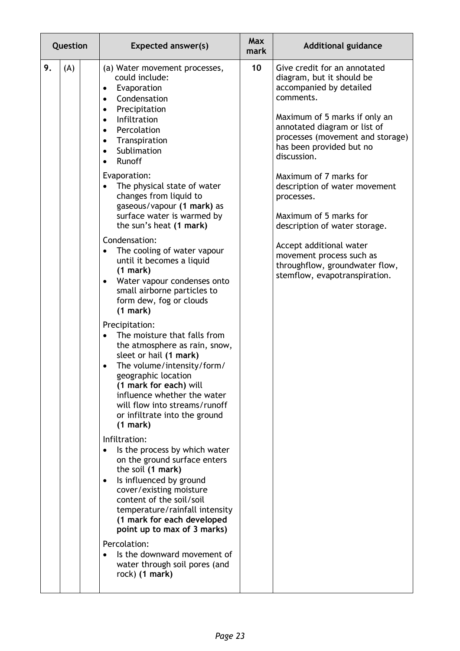| Question  | <b>Expected answer(s)</b>                                                                                                                                                                                                                                                                                                                                                                                                                                                                                                                                                                                                                                                                                                                                                                                                                                                                                                                                                                                                                                                                                                                                                                                                                                                                                                                                        | <b>Max</b><br>mark | <b>Additional guidance</b>                                                                                                                                                                                                                                                                                                                                                                                                                                                                                      |
|-----------|------------------------------------------------------------------------------------------------------------------------------------------------------------------------------------------------------------------------------------------------------------------------------------------------------------------------------------------------------------------------------------------------------------------------------------------------------------------------------------------------------------------------------------------------------------------------------------------------------------------------------------------------------------------------------------------------------------------------------------------------------------------------------------------------------------------------------------------------------------------------------------------------------------------------------------------------------------------------------------------------------------------------------------------------------------------------------------------------------------------------------------------------------------------------------------------------------------------------------------------------------------------------------------------------------------------------------------------------------------------|--------------------|-----------------------------------------------------------------------------------------------------------------------------------------------------------------------------------------------------------------------------------------------------------------------------------------------------------------------------------------------------------------------------------------------------------------------------------------------------------------------------------------------------------------|
| 9.<br>(A) | (a) Water movement processes,<br>could include:<br>Evaporation<br>$\bullet$<br>Condensation<br>$\bullet$<br>Precipitation<br>$\bullet$<br>Infiltration<br>$\bullet$<br>Percolation<br>$\bullet$<br>Transpiration<br>$\bullet$<br>Sublimation<br>$\bullet$<br>Runoff<br>Evaporation:<br>The physical state of water<br>changes from liquid to<br>gaseous/vapour (1 mark) as<br>surface water is warmed by<br>the sun's heat (1 mark)<br>Condensation:<br>The cooling of water vapour<br>until it becomes a liquid<br>(1 mark)<br>Water vapour condenses onto<br>٠<br>small airborne particles to<br>form dew, fog or clouds<br>(1 mark)<br>Precipitation:<br>The moisture that falls from<br>the atmosphere as rain, snow,<br>sleet or hail (1 mark)<br>The volume/intensity/form/<br>٠<br>geographic location<br>(1 mark for each) will<br>influence whether the water<br>will flow into streams/runoff<br>or infiltrate into the ground<br>(1 mark)<br>Infiltration:<br>Is the process by which water<br>$\bullet$<br>on the ground surface enters<br>the soil (1 mark)<br>Is influenced by ground<br>٠<br>cover/existing moisture<br>content of the soil/soil<br>temperature/rainfall intensity<br>(1 mark for each developed<br>point up to max of 3 marks)<br>Percolation:<br>Is the downward movement of<br>water through soil pores (and<br>rock) (1 mark) | 10                 | Give credit for an annotated<br>diagram, but it should be<br>accompanied by detailed<br>comments.<br>Maximum of 5 marks if only an<br>annotated diagram or list of<br>processes (movement and storage)<br>has been provided but no<br>discussion.<br>Maximum of 7 marks for<br>description of water movement<br>processes.<br>Maximum of 5 marks for<br>description of water storage.<br>Accept additional water<br>movement process such as<br>throughflow, groundwater flow,<br>stemflow, evapotranspiration. |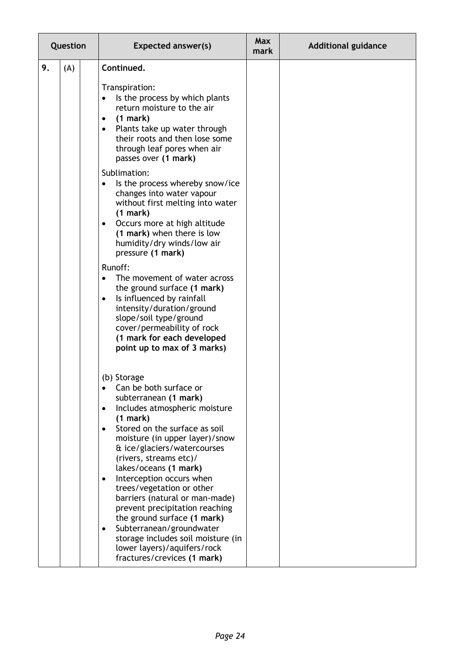|    | Question | <b>Expected answer(s)</b>                                                                                                                                                                                                                                                                                                                                                                                                                                                                                                                                                                                        | <b>Max</b><br>mark | <b>Additional guidance</b> |
|----|----------|------------------------------------------------------------------------------------------------------------------------------------------------------------------------------------------------------------------------------------------------------------------------------------------------------------------------------------------------------------------------------------------------------------------------------------------------------------------------------------------------------------------------------------------------------------------------------------------------------------------|--------------------|----------------------------|
| 9. | (A)      | Continued.                                                                                                                                                                                                                                                                                                                                                                                                                                                                                                                                                                                                       |                    |                            |
|    |          | Transpiration:<br>Is the process by which plants<br>return moisture to the air<br>(1 mark)<br>٠<br>Plants take up water through<br>$\bullet$<br>their roots and then lose some<br>through leaf pores when air<br>passes over (1 mark)<br>Sublimation:<br>Is the process whereby snow/ice<br>changes into water vapour<br>without first melting into water<br>(1 mark)                                                                                                                                                                                                                                            |                    |                            |
|    |          | Occurs more at high altitude<br>$\bullet$<br>(1 mark) when there is low<br>humidity/dry winds/low air<br>pressure (1 mark)                                                                                                                                                                                                                                                                                                                                                                                                                                                                                       |                    |                            |
|    |          | Runoff:<br>The movement of water across<br>the ground surface (1 mark)<br>Is influenced by rainfall<br>$\bullet$<br>intensity/duration/ground<br>slope/soil type/ground<br>cover/permeability of rock<br>(1 mark for each developed<br>point up to max of 3 marks)                                                                                                                                                                                                                                                                                                                                               |                    |                            |
|    |          | (b) Storage<br>Can be both surface or<br>subterranean (1 mark)<br>Includes atmospheric moisture<br>$\bullet$<br>(1 mark)<br>Stored on the surface as soil<br>$\bullet$<br>moisture (in upper layer)/snow<br>& ice/glaciers/watercourses<br>(rivers, streams etc)/<br>lakes/oceans (1 mark)<br>Interception occurs when<br>$\bullet$<br>trees/vegetation or other<br>barriers (natural or man-made)<br>prevent precipitation reaching<br>the ground surface (1 mark)<br>Subterranean/groundwater<br>$\bullet$<br>storage includes soil moisture (in<br>lower layers)/aquifers/rock<br>fractures/crevices (1 mark) |                    |                            |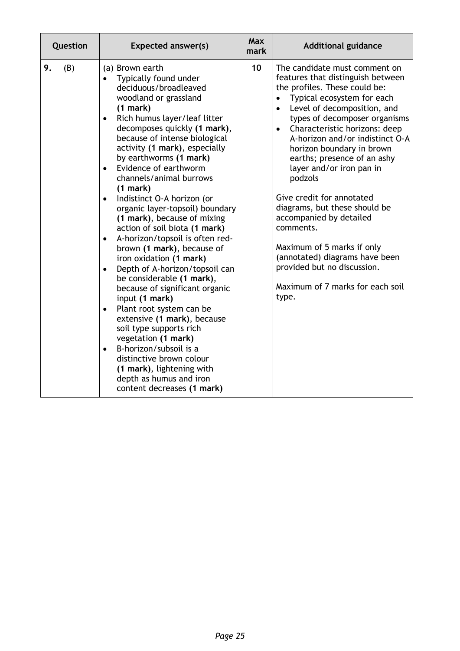| Question |     | <b>Expected answer(s)</b>                                                                                                                                                                                                                                                                                                                                                                                                                                                                                                                                                                                                                                                                                                                                                                                                                                                                                                                                                                                                              | <b>Max</b><br>mark | <b>Additional guidance</b>                                                                                                                                                                                                                                                                                                                                                                                                                                                                                                                                                                                                                                        |
|----------|-----|----------------------------------------------------------------------------------------------------------------------------------------------------------------------------------------------------------------------------------------------------------------------------------------------------------------------------------------------------------------------------------------------------------------------------------------------------------------------------------------------------------------------------------------------------------------------------------------------------------------------------------------------------------------------------------------------------------------------------------------------------------------------------------------------------------------------------------------------------------------------------------------------------------------------------------------------------------------------------------------------------------------------------------------|--------------------|-------------------------------------------------------------------------------------------------------------------------------------------------------------------------------------------------------------------------------------------------------------------------------------------------------------------------------------------------------------------------------------------------------------------------------------------------------------------------------------------------------------------------------------------------------------------------------------------------------------------------------------------------------------------|
| 9.       | (B) | (a) Brown earth<br>Typically found under<br>deciduous/broadleaved<br>woodland or grassland<br>(1 mark)<br>Rich humus layer/leaf litter<br>$\bullet$<br>decomposes quickly (1 mark),<br>because of intense biological<br>activity (1 mark), especially<br>by earthworms (1 mark)<br>Evidence of earthworm<br>$\bullet$<br>channels/animal burrows<br>(1 mark)<br>Indistinct O-A horizon (or<br>$\bullet$<br>organic layer-topsoil) boundary<br>(1 mark), because of mixing<br>action of soil biota (1 mark)<br>A-horizon/topsoil is often red-<br>$\bullet$<br>brown (1 mark), because of<br>iron oxidation (1 mark)<br>Depth of A-horizon/topsoil can<br>$\bullet$<br>be considerable (1 mark),<br>because of significant organic<br>input (1 mark)<br>Plant root system can be<br>$\bullet$<br>extensive (1 mark), because<br>soil type supports rich<br>vegetation (1 mark)<br>B-horizon/subsoil is a<br>$\bullet$<br>distinctive brown colour<br>(1 mark), lightening with<br>depth as humus and iron<br>content decreases (1 mark) | 10                 | The candidate must comment on<br>features that distinguish between<br>the profiles. These could be:<br>Typical ecosystem for each<br>$\bullet$<br>Level of decomposition, and<br>$\bullet$<br>types of decomposer organisms<br>Characteristic horizons: deep<br>$\bullet$<br>A-horizon and/or indistinct O-A<br>horizon boundary in brown<br>earths; presence of an ashy<br>layer and/or iron pan in<br>podzols<br>Give credit for annotated<br>diagrams, but these should be<br>accompanied by detailed<br>comments.<br>Maximum of 5 marks if only<br>(annotated) diagrams have been<br>provided but no discussion.<br>Maximum of 7 marks for each soil<br>type. |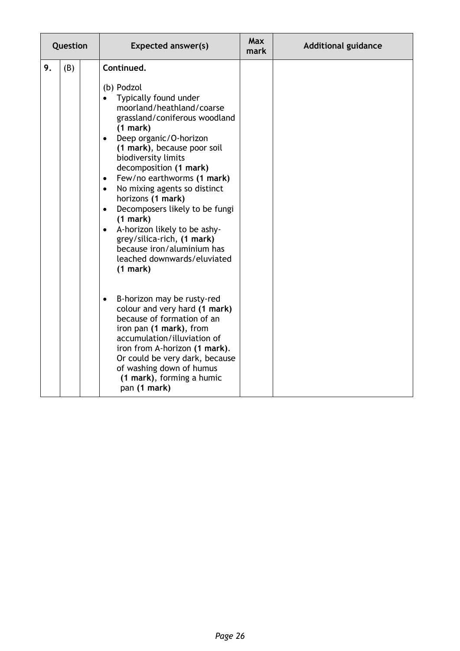| Question |     |  | <b>Expected answer(s)</b>                                                                                                                                                                                                                                                                                                                                                                                                                                                                                                                                                      | <b>Max</b><br>mark | <b>Additional guidance</b> |
|----------|-----|--|--------------------------------------------------------------------------------------------------------------------------------------------------------------------------------------------------------------------------------------------------------------------------------------------------------------------------------------------------------------------------------------------------------------------------------------------------------------------------------------------------------------------------------------------------------------------------------|--------------------|----------------------------|
| 9.       | (B) |  | Continued.<br>(b) Podzol<br>Typically found under<br>moorland/heathland/coarse<br>grassland/coniferous woodland<br>(1 mark)<br>Deep organic/O-horizon<br>$\bullet$<br>(1 mark), because poor soil<br>biodiversity limits<br>decomposition (1 mark)<br>Few/no earthworms (1 mark)<br>$\bullet$<br>No mixing agents so distinct<br>$\bullet$<br>horizons (1 mark)<br>Decomposers likely to be fungi<br>$\bullet$<br>(1 mark)<br>A-horizon likely to be ashy-<br>$\bullet$<br>grey/silica-rich, (1 mark)<br>because iron/aluminium has<br>leached downwards/eluviated<br>(1 mark) |                    |                            |
|          |     |  | B-horizon may be rusty-red<br>$\bullet$<br>colour and very hard (1 mark)<br>because of formation of an<br>iron pan (1 mark), from<br>accumulation/illuviation of<br>iron from A-horizon (1 mark).<br>Or could be very dark, because<br>of washing down of humus<br>(1 mark), forming a humic<br>pan (1 mark)                                                                                                                                                                                                                                                                   |                    |                            |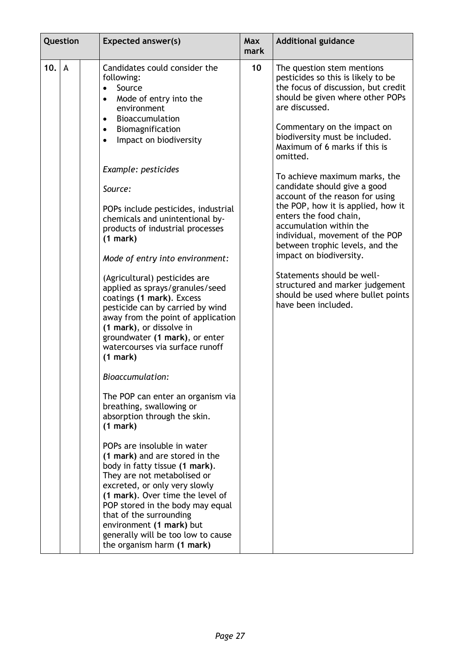| Question |                | <b>Expected answer(s)</b>                                                                                                                                                                                                                                                                                                                                                                                                                                                                                                                                                                                                                                                                                                                                                                                                                                                                                                                                                                                                                                                                                                                                                                                                             | <b>Max</b><br>mark | <b>Additional guidance</b>                                                                                                                                                                                                                                                                                                                                                                                                                                                                                                                                                                                                                                                                                |
|----------|----------------|---------------------------------------------------------------------------------------------------------------------------------------------------------------------------------------------------------------------------------------------------------------------------------------------------------------------------------------------------------------------------------------------------------------------------------------------------------------------------------------------------------------------------------------------------------------------------------------------------------------------------------------------------------------------------------------------------------------------------------------------------------------------------------------------------------------------------------------------------------------------------------------------------------------------------------------------------------------------------------------------------------------------------------------------------------------------------------------------------------------------------------------------------------------------------------------------------------------------------------------|--------------------|-----------------------------------------------------------------------------------------------------------------------------------------------------------------------------------------------------------------------------------------------------------------------------------------------------------------------------------------------------------------------------------------------------------------------------------------------------------------------------------------------------------------------------------------------------------------------------------------------------------------------------------------------------------------------------------------------------------|
| 10.      | $\overline{A}$ | Candidates could consider the<br>following:<br>Source<br>$\bullet$<br>Mode of entry into the<br>$\bullet$<br>environment<br>Bioaccumulation<br>$\bullet$<br>Biomagnification<br>$\bullet$<br>Impact on biodiversity<br>$\bullet$<br>Example: pesticides<br>Source:<br>POPs include pesticides, industrial<br>chemicals and unintentional by-<br>products of industrial processes<br>(1 mark)<br>Mode of entry into environment:<br>(Agricultural) pesticides are<br>applied as sprays/granules/seed<br>coatings (1 mark). Excess<br>pesticide can by carried by wind<br>away from the point of application<br>(1 mark), or dissolve in<br>groundwater (1 mark), or enter<br>watercourses via surface runoff<br>(1 mark)<br><b>Bioaccumulation:</b><br>The POP can enter an organism via<br>breathing, swallowing or<br>absorption through the skin.<br>(1 mark)<br>POPs are insoluble in water<br>(1 mark) and are stored in the<br>body in fatty tissue (1 mark).<br>They are not metabolised or<br>excreted, or only very slowly<br>(1 mark). Over time the level of<br>POP stored in the body may equal<br>that of the surrounding<br>environment (1 mark) but<br>generally will be too low to cause<br>the organism harm (1 mark) | 10                 | The question stem mentions<br>pesticides so this is likely to be<br>the focus of discussion, but credit<br>should be given where other POPs<br>are discussed.<br>Commentary on the impact on<br>biodiversity must be included.<br>Maximum of 6 marks if this is<br>omitted.<br>To achieve maximum marks, the<br>candidate should give a good<br>account of the reason for using<br>the POP, how it is applied, how it<br>enters the food chain,<br>accumulation within the<br>individual, movement of the POP<br>between trophic levels, and the<br>impact on biodiversity.<br>Statements should be well-<br>structured and marker judgement<br>should be used where bullet points<br>have been included. |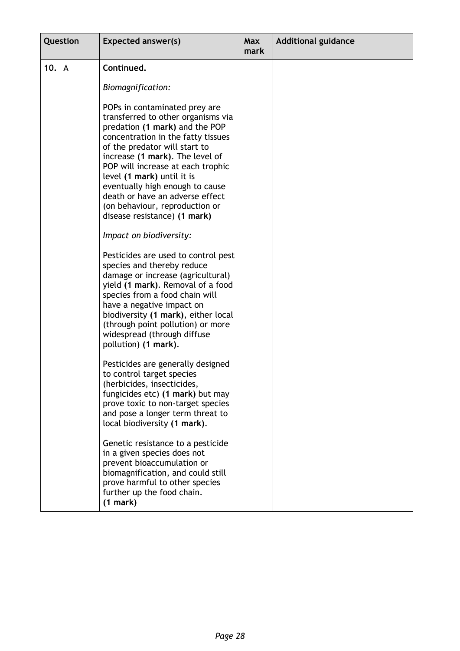| Question |   | <b>Expected answer(s)</b>                                                                                                                                                                                                                                                                                                                                                                                                                                                                                                                                                                                                                                                                                                                                                                              | Max<br>mark | <b>Additional guidance</b> |
|----------|---|--------------------------------------------------------------------------------------------------------------------------------------------------------------------------------------------------------------------------------------------------------------------------------------------------------------------------------------------------------------------------------------------------------------------------------------------------------------------------------------------------------------------------------------------------------------------------------------------------------------------------------------------------------------------------------------------------------------------------------------------------------------------------------------------------------|-------------|----------------------------|
| 10.      | A | Continued.                                                                                                                                                                                                                                                                                                                                                                                                                                                                                                                                                                                                                                                                                                                                                                                             |             |                            |
|          |   | Biomagnification:                                                                                                                                                                                                                                                                                                                                                                                                                                                                                                                                                                                                                                                                                                                                                                                      |             |                            |
|          |   | POPs in contaminated prey are<br>transferred to other organisms via<br>predation (1 mark) and the POP<br>concentration in the fatty tissues<br>of the predator will start to<br>increase (1 mark). The level of<br>POP will increase at each trophic<br>level (1 mark) until it is<br>eventually high enough to cause<br>death or have an adverse effect<br>(on behaviour, reproduction or<br>disease resistance) (1 mark)<br>Impact on biodiversity:<br>Pesticides are used to control pest<br>species and thereby reduce<br>damage or increase (agricultural)<br>yield (1 mark). Removal of a food<br>species from a food chain will<br>have a negative impact on<br>biodiversity (1 mark), either local<br>(through point pollution) or more<br>widespread (through diffuse<br>pollution) (1 mark). |             |                            |
|          |   | Pesticides are generally designed<br>to control target species<br>(herbicides, insecticides,<br>fungicides etc) (1 mark) but may<br>prove toxic to non-target species<br>and pose a longer term threat to<br>local biodiversity (1 mark).<br>Genetic resistance to a pesticide<br>in a given species does not<br>prevent bioaccumulation or<br>biomagnification, and could still<br>prove harmful to other species<br>further up the food chain.<br>(1 mark)                                                                                                                                                                                                                                                                                                                                           |             |                            |